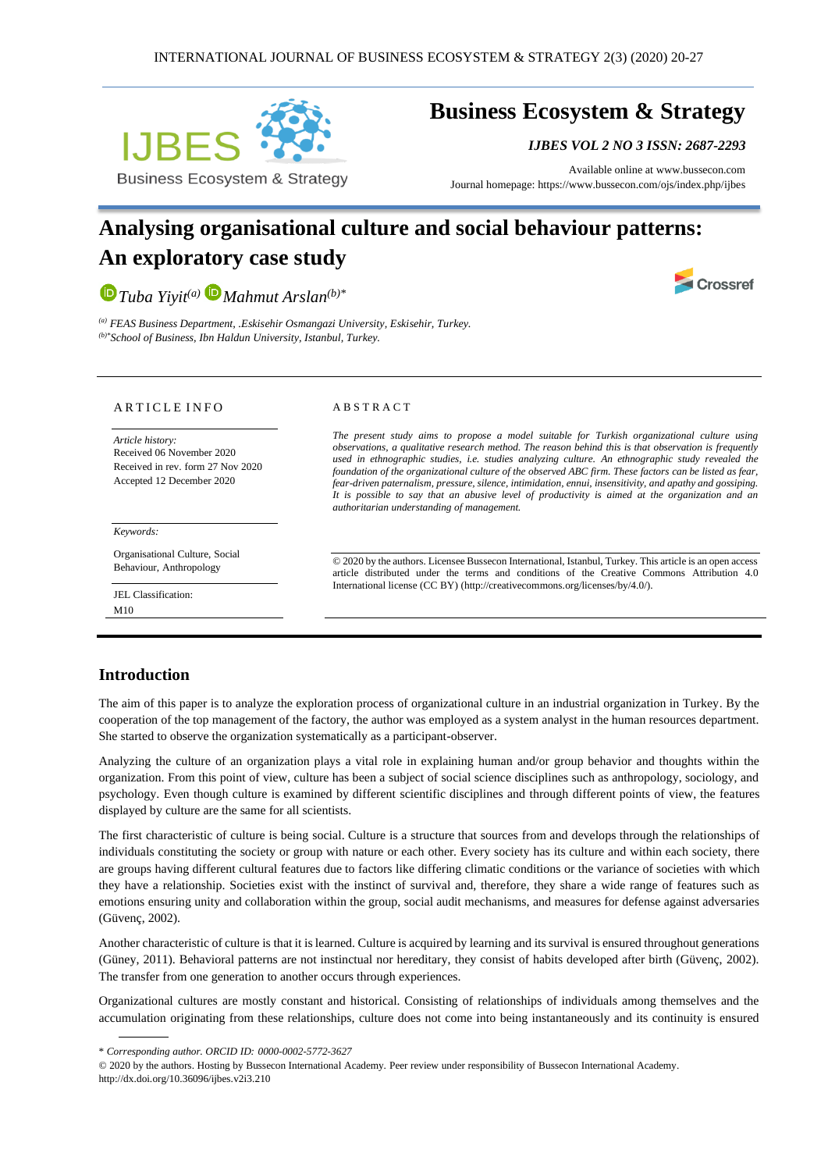

## **Business Ecosystem & Strategy**

*IJBES VOL 2 NO 3 ISSN: 2687-2293*

Available online a[t www.bussecon.com](http://www.bussecon.com/) Journal homepage: https://www.bussecon.com/ojs/index.php/ijbes

# **Analysing organisational culture and social behaviour patterns: An exploratory case study**

*[T](https://orcid.org/0000-0003-2497-9762)uba Yiyit(a) [M](https://orcid.org/0000-0002-5772-3627)ahmut Arslan(b)\**



*(a) FEAS Business Department, .Eskisehir Osmangazi University, Eskisehir, Turkey. (b)\*School of Business, Ibn Haldun University, Istanbul, Turkey.*

#### A R T I C L E I N F O

*Article history:*  Received 06 November 2020 Received in rev. form 27 Nov 2020 Accepted 12 December 2020

*Keywords:*

Organisational Culture, Social Behaviour, Anthropology

JEL Classification: M10

#### A B S T R A C T

*The present study aims to propose a model suitable for Turkish organizational culture using observations, a qualitative research method. The reason behind this is that observation is frequently used in ethnographic studies, i.e. studies analyzing culture. An ethnographic study revealed the foundation of the organizational culture of the observed ABC firm. These factors can be listed as fear, fear-driven paternalism, pressure, silence, intimidation, ennui, insensitivity, and apathy and gossiping. It is possible to say that an abusive level of productivity is aimed at the organization and an authoritarian understanding of management.*

© 2020 by the authors. Licensee Bussecon International, Istanbul, Turkey. This article is an open access article distributed under the terms and conditions of the Creative Commons Attribution 4.0 International license (CC BY) (http://creativecommons.org/licenses/by/4.0/).

#### **Introduction**

The aim of this paper is to analyze the exploration process of organizational culture in an industrial organization in Turkey. By the cooperation of the top management of the factory, the author was employed as a system analyst in the human resources department. She started to observe the organization systematically as a participant-observer.

Analyzing the culture of an organization plays a vital role in explaining human and/or group behavior and thoughts within the organization. From this point of view, culture has been a subject of social science disciplines such as anthropology, sociology, and psychology. Even though culture is examined by different scientific disciplines and through different points of view, the features displayed by culture are the same for all scientists.

The first characteristic of culture is being social. Culture is a structure that sources from and develops through the relationships of individuals constituting the society or group with nature or each other. Every society has its culture and within each society, there are groups having different cultural features due to factors like differing climatic conditions or the variance of societies with which they have a relationship. Societies exist with the instinct of survival and, therefore, they share a wide range of features such as emotions ensuring unity and collaboration within the group, social audit mechanisms, and measures for defense against adversaries (Güvenç, 2002).

Another characteristic of culture is that it is learned. Culture is acquired by learning and its survival is ensured throughout generations (Güney, 2011). Behavioral patterns are not instinctual nor hereditary, they consist of habits developed after birth (Güvenç, 2002). The transfer from one generation to another occurs through experiences.

Organizational cultures are mostly constant and historical. Consisting of relationships of individuals among themselves and the accumulation originating from these relationships, culture does not come into being instantaneously and its continuity is ensured

<sup>\*</sup> *Corresponding author. ORCID ID: 0000-0002-5772-3627*

<sup>© 2020</sup> by the authors. Hosting by Bussecon International Academy. Peer review under responsibility of Bussecon International Academy. http://dx.doi.org/10.36096/ijbes.v2i3.210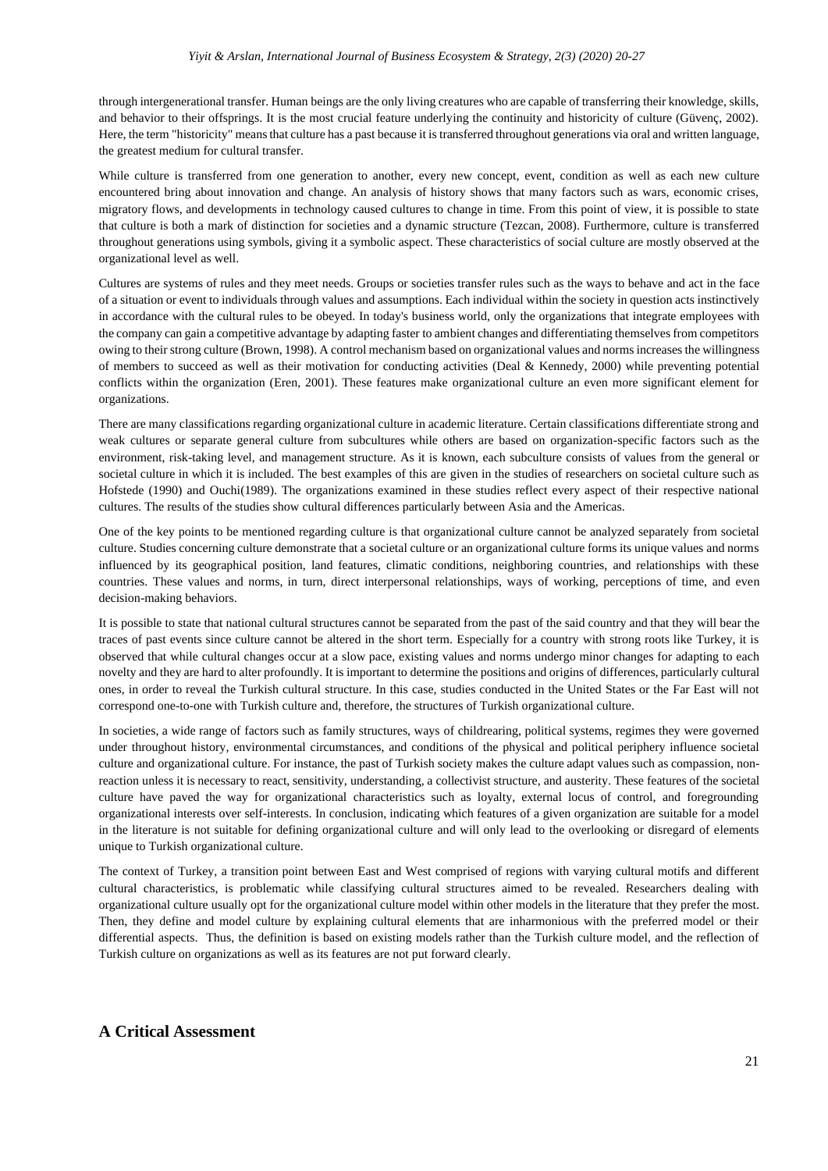through intergenerational transfer. Human beings are the only living creatures who are capable of transferring their knowledge, skills, and behavior to their offsprings. It is the most crucial feature underlying the continuity and historicity of culture (Güvenç, 2002). Here, the term "historicity" means that culture has a past because it is transferred throughout generations via oral and written language, the greatest medium for cultural transfer.

While culture is transferred from one generation to another, every new concept, event, condition as well as each new culture encountered bring about innovation and change. An analysis of history shows that many factors such as wars, economic crises, migratory flows, and developments in technology caused cultures to change in time. From this point of view, it is possible to state that culture is both a mark of distinction for societies and a dynamic structure (Tezcan, 2008). Furthermore, culture is transferred throughout generations using symbols, giving it a symbolic aspect. These characteristics of social culture are mostly observed at the organizational level as well.

Cultures are systems of rules and they meet needs. Groups or societies transfer rules such as the ways to behave and act in the face of a situation or event to individuals through values and assumptions. Each individual within the society in question acts instinctively in accordance with the cultural rules to be obeyed. In today's business world, only the organizations that integrate employees with the company can gain a competitive advantage by adapting faster to ambient changes and differentiating themselves from competitors owing to their strong culture (Brown, 1998). A control mechanism based on organizational values and norms increases the willingness of members to succeed as well as their motivation for conducting activities (Deal & Kennedy, 2000) while preventing potential conflicts within the organization (Eren, 2001). These features make organizational culture an even more significant element for organizations.

There are many classifications regarding organizational culture in academic literature. Certain classifications differentiate strong and weak cultures or separate general culture from subcultures while others are based on organization-specific factors such as the environment, risk-taking level, and management structure. As it is known, each subculture consists of values from the general or societal culture in which it is included. The best examples of this are given in the studies of researchers on societal culture such as Hofstede (1990) and Ouchi(1989). The organizations examined in these studies reflect every aspect of their respective national cultures. The results of the studies show cultural differences particularly between Asia and the Americas.

One of the key points to be mentioned regarding culture is that organizational culture cannot be analyzed separately from societal culture. Studies concerning culture demonstrate that a societal culture or an organizational culture forms its unique values and norms influenced by its geographical position, land features, climatic conditions, neighboring countries, and relationships with these countries. These values and norms, in turn, direct interpersonal relationships, ways of working, perceptions of time, and even decision-making behaviors.

It is possible to state that national cultural structures cannot be separated from the past of the said country and that they will bear the traces of past events since culture cannot be altered in the short term. Especially for a country with strong roots like Turkey, it is observed that while cultural changes occur at a slow pace, existing values and norms undergo minor changes for adapting to each novelty and they are hard to alter profoundly. It is important to determine the positions and origins of differences, particularly cultural ones, in order to reveal the Turkish cultural structure. In this case, studies conducted in the United States or the Far East will not correspond one-to-one with Turkish culture and, therefore, the structures of Turkish organizational culture.

In societies, a wide range of factors such as family structures, ways of childrearing, political systems, regimes they were governed under throughout history, environmental circumstances, and conditions of the physical and political periphery influence societal culture and organizational culture. For instance, the past of Turkish society makes the culture adapt values such as compassion, nonreaction unless it is necessary to react, sensitivity, understanding, a collectivist structure, and austerity. These features of the societal culture have paved the way for organizational characteristics such as loyalty, external locus of control, and foregrounding organizational interests over self-interests. In conclusion, indicating which features of a given organization are suitable for a model in the literature is not suitable for defining organizational culture and will only lead to the overlooking or disregard of elements unique to Turkish organizational culture.

The context of Turkey, a transition point between East and West comprised of regions with varying cultural motifs and different cultural characteristics, is problematic while classifying cultural structures aimed to be revealed. Researchers dealing with organizational culture usually opt for the organizational culture model within other models in the literature that they prefer the most. Then, they define and model culture by explaining cultural elements that are inharmonious with the preferred model or their differential aspects. Thus, the definition is based on existing models rather than the Turkish culture model, and the reflection of Turkish culture on organizations as well as its features are not put forward clearly.

## **A Critical Assessment**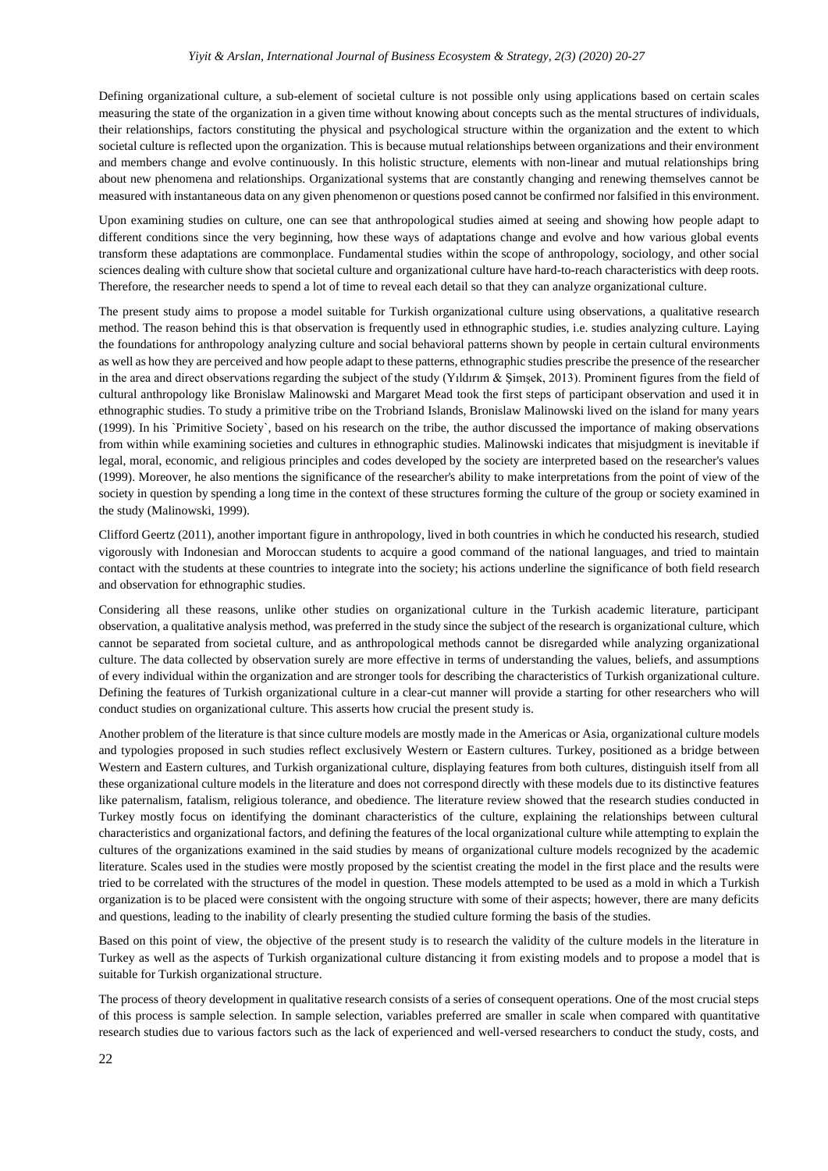Defining organizational culture, a sub-element of societal culture is not possible only using applications based on certain scales measuring the state of the organization in a given time without knowing about concepts such as the mental structures of individuals, their relationships, factors constituting the physical and psychological structure within the organization and the extent to which societal culture is reflected upon the organization. This is because mutual relationships between organizations and their environment and members change and evolve continuously. In this holistic structure, elements with non-linear and mutual relationships bring about new phenomena and relationships. Organizational systems that are constantly changing and renewing themselves cannot be measured with instantaneous data on any given phenomenon or questions posed cannot be confirmed nor falsified in this environment.

Upon examining studies on culture, one can see that anthropological studies aimed at seeing and showing how people adapt to different conditions since the very beginning, how these ways of adaptations change and evolve and how various global events transform these adaptations are commonplace. Fundamental studies within the scope of anthropology, sociology, and other social sciences dealing with culture show that societal culture and organizational culture have hard-to-reach characteristics with deep roots. Therefore, the researcher needs to spend a lot of time to reveal each detail so that they can analyze organizational culture.

The present study aims to propose a model suitable for Turkish organizational culture using observations, a qualitative research method. The reason behind this is that observation is frequently used in ethnographic studies, i.e. studies analyzing culture. Laying the foundations for anthropology analyzing culture and social behavioral patterns shown by people in certain cultural environments as well as how they are perceived and how people adapt to these patterns, ethnographic studies prescribe the presence of the researcher in the area and direct observations regarding the subject of the study (Yıldırım & Şimşek, 2013). Prominent figures from the field of cultural anthropology like Bronislaw Malinowski and Margaret Mead took the first steps of participant observation and used it in ethnographic studies. To study a primitive tribe on the Trobriand Islands, Bronislaw Malinowski lived on the island for many years (1999). In his `Primitive Society`, based on his research on the tribe, the author discussed the importance of making observations from within while examining societies and cultures in ethnographic studies. Malinowski indicates that misjudgment is inevitable if legal, moral, economic, and religious principles and codes developed by the society are interpreted based on the researcher's values (1999). Moreover, he also mentions the significance of the researcher's ability to make interpretations from the point of view of the society in question by spending a long time in the context of these structures forming the culture of the group or society examined in the study (Malinowski, 1999).

Clifford Geertz (2011), another important figure in anthropology, lived in both countries in which he conducted his research, studied vigorously with Indonesian and Moroccan students to acquire a good command of the national languages, and tried to maintain contact with the students at these countries to integrate into the society; his actions underline the significance of both field research and observation for ethnographic studies.

Considering all these reasons, unlike other studies on organizational culture in the Turkish academic literature, participant observation, a qualitative analysis method, was preferred in the study since the subject of the research is organizational culture, which cannot be separated from societal culture, and as anthropological methods cannot be disregarded while analyzing organizational culture. The data collected by observation surely are more effective in terms of understanding the values, beliefs, and assumptions of every individual within the organization and are stronger tools for describing the characteristics of Turkish organizational culture. Defining the features of Turkish organizational culture in a clear-cut manner will provide a starting for other researchers who will conduct studies on organizational culture. This asserts how crucial the present study is.

Another problem of the literature is that since culture models are mostly made in the Americas or Asia, organizational culture models and typologies proposed in such studies reflect exclusively Western or Eastern cultures. Turkey, positioned as a bridge between Western and Eastern cultures, and Turkish organizational culture, displaying features from both cultures, distinguish itself from all these organizational culture models in the literature and does not correspond directly with these models due to its distinctive features like paternalism, fatalism, religious tolerance, and obedience. The literature review showed that the research studies conducted in Turkey mostly focus on identifying the dominant characteristics of the culture, explaining the relationships between cultural characteristics and organizational factors, and defining the features of the local organizational culture while attempting to explain the cultures of the organizations examined in the said studies by means of organizational culture models recognized by the academic literature. Scales used in the studies were mostly proposed by the scientist creating the model in the first place and the results were tried to be correlated with the structures of the model in question. These models attempted to be used as a mold in which a Turkish organization is to be placed were consistent with the ongoing structure with some of their aspects; however, there are many deficits and questions, leading to the inability of clearly presenting the studied culture forming the basis of the studies.

Based on this point of view, the objective of the present study is to research the validity of the culture models in the literature in Turkey as well as the aspects of Turkish organizational culture distancing it from existing models and to propose a model that is suitable for Turkish organizational structure.

The process of theory development in qualitative research consists of a series of consequent operations. One of the most crucial steps of this process is sample selection. In sample selection, variables preferred are smaller in scale when compared with quantitative research studies due to various factors such as the lack of experienced and well-versed researchers to conduct the study, costs, and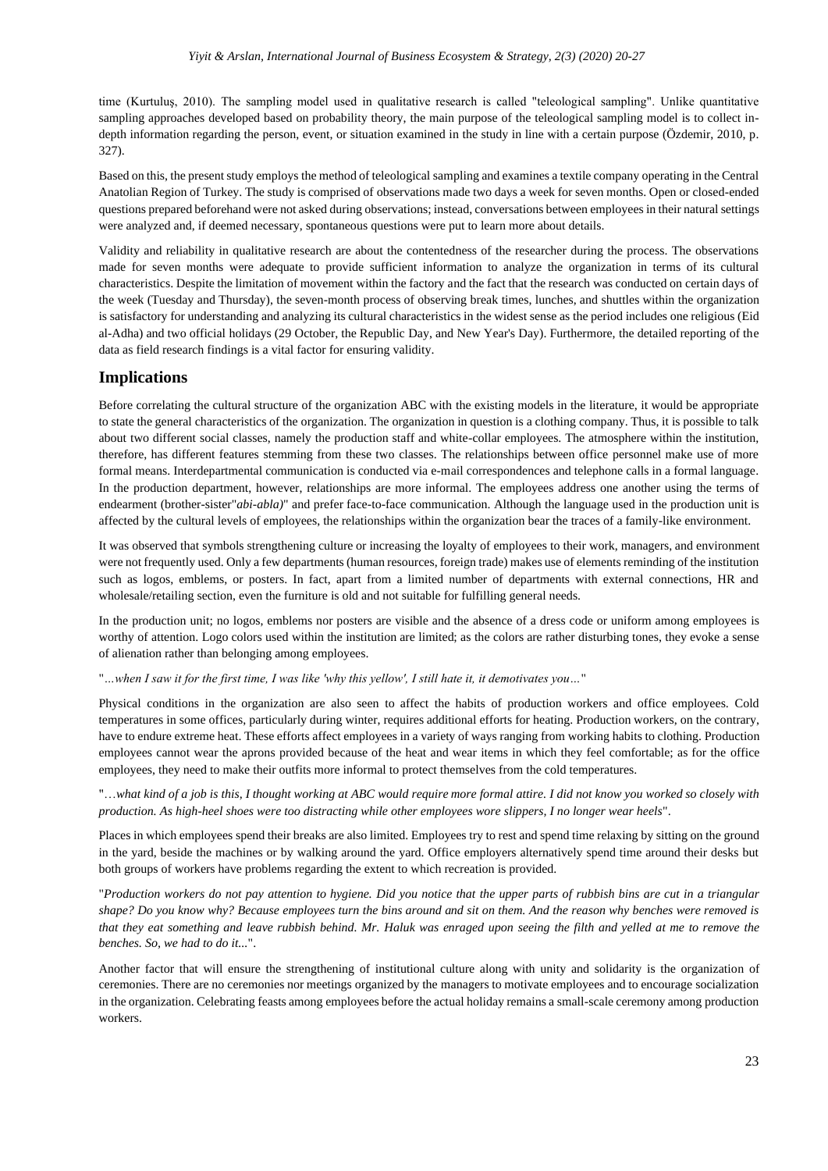time (Kurtuluş, 2010). The sampling model used in qualitative research is called "teleological sampling". Unlike quantitative sampling approaches developed based on probability theory, the main purpose of the teleological sampling model is to collect indepth information regarding the person, event, or situation examined in the study in line with a certain purpose (Özdemir, 2010, p. 327).

Based on this, the present study employs the method of teleological sampling and examines a textile company operating in the Central Anatolian Region of Turkey. The study is comprised of observations made two days a week for seven months. Open or closed-ended questions prepared beforehand were not asked during observations; instead, conversations between employees in their natural settings were analyzed and, if deemed necessary, spontaneous questions were put to learn more about details.

Validity and reliability in qualitative research are about the contentedness of the researcher during the process. The observations made for seven months were adequate to provide sufficient information to analyze the organization in terms of its cultural characteristics. Despite the limitation of movement within the factory and the fact that the research was conducted on certain days of the week (Tuesday and Thursday), the seven-month process of observing break times, lunches, and shuttles within the organization is satisfactory for understanding and analyzing its cultural characteristics in the widest sense as the period includes one religious (Eid al-Adha) and two official holidays (29 October, the Republic Day, and New Year's Day). Furthermore, the detailed reporting of the data as field research findings is a vital factor for ensuring validity.

## **Implications**

Before correlating the cultural structure of the organization ABC with the existing models in the literature, it would be appropriate to state the general characteristics of the organization. The organization in question is a clothing company. Thus, it is possible to talk about two different social classes, namely the production staff and white-collar employees. The atmosphere within the institution, therefore, has different features stemming from these two classes. The relationships between office personnel make use of more formal means. Interdepartmental communication is conducted via e-mail correspondences and telephone calls in a formal language. In the production department, however, relationships are more informal. The employees address one another using the terms of endearment (brother-sister"*abi-abla)*" and prefer face-to-face communication. Although the language used in the production unit is affected by the cultural levels of employees, the relationships within the organization bear the traces of a family-like environment.

It was observed that symbols strengthening culture or increasing the loyalty of employees to their work, managers, and environment were not frequently used. Only a few departments (human resources, foreign trade) makes use of elements reminding of the institution such as logos, emblems, or posters. In fact, apart from a limited number of departments with external connections, HR and wholesale/retailing section, even the furniture is old and not suitable for fulfilling general needs.

In the production unit; no logos, emblems nor posters are visible and the absence of a dress code or uniform among employees is worthy of attention. Logo colors used within the institution are limited; as the colors are rather disturbing tones, they evoke a sense of alienation rather than belonging among employees.

"*…when I saw it for the first time, I was like 'why this yellow', I still hate it, it demotivates you…*"

Physical conditions in the organization are also seen to affect the habits of production workers and office employees. Cold temperatures in some offices, particularly during winter, requires additional efforts for heating. Production workers, on the contrary, have to endure extreme heat. These efforts affect employees in a variety of ways ranging from working habits to clothing. Production employees cannot wear the aprons provided because of the heat and wear items in which they feel comfortable; as for the office employees, they need to make their outfits more informal to protect themselves from the cold temperatures.

"…*what kind of a job is this, I thought working at ABC would require more formal attire. I did not know you worked so closely with production. As high-heel shoes were too distracting while other employees wore slippers, I no longer wear heels*".

Places in which employees spend their breaks are also limited. Employees try to rest and spend time relaxing by sitting on the ground in the yard, beside the machines or by walking around the yard. Office employers alternatively spend time around their desks but both groups of workers have problems regarding the extent to which recreation is provided.

"*Production workers do not pay attention to hygiene. Did you notice that the upper parts of rubbish bins are cut in a triangular shape? Do you know why? Because employees turn the bins around and sit on them. And the reason why benches were removed is that they eat something and leave rubbish behind. Mr. Haluk was enraged upon seeing the filth and yelled at me to remove the benches. So, we had to do it...*".

Another factor that will ensure the strengthening of institutional culture along with unity and solidarity is the organization of ceremonies. There are no ceremonies nor meetings organized by the managers to motivate employees and to encourage socialization in the organization. Celebrating feasts among employees before the actual holiday remains a small-scale ceremony among production workers.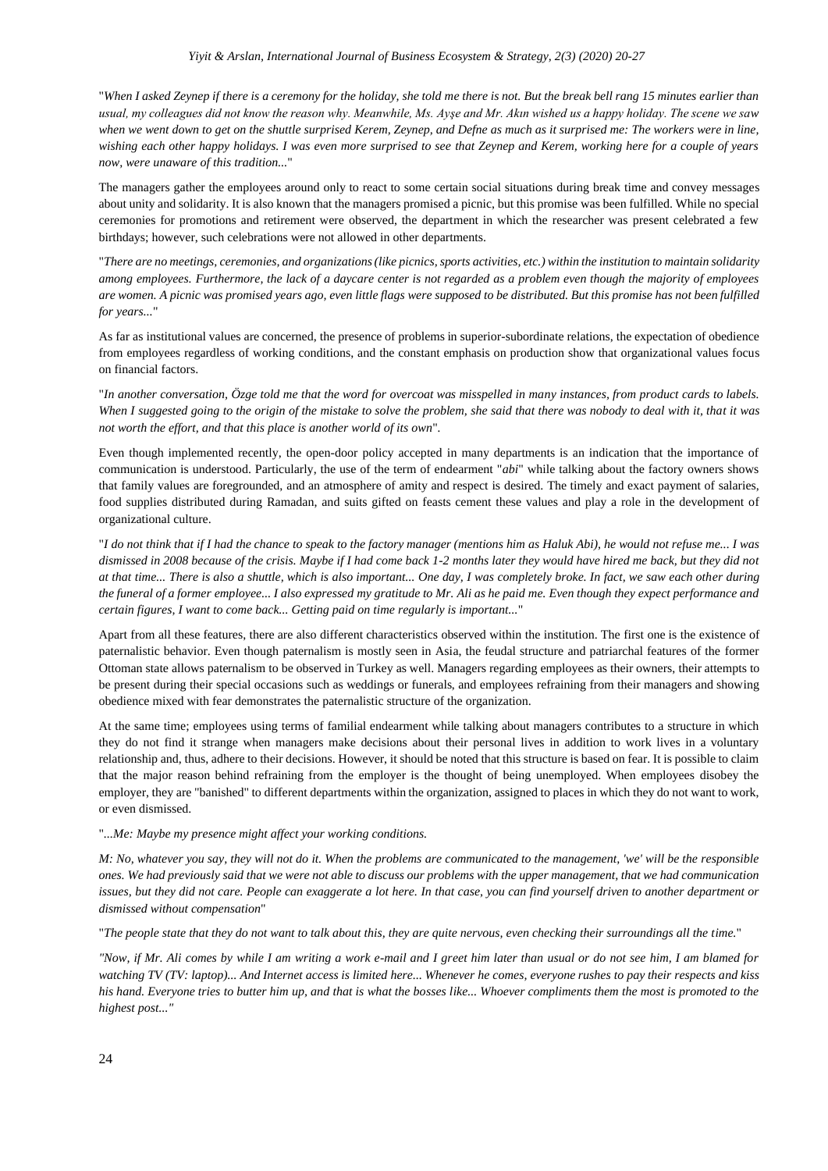"*When I asked Zeynep if there is a ceremony for the holiday, she told me there is not. But the break bell rang 15 minutes earlier than usual, my colleagues did not know the reason why. Meanwhile, Ms. Ayşe and Mr. Akın wished us a happy holiday. The scene we saw when we went down to get on the shuttle surprised Kerem, Zeynep, and Defne as much as it surprised me: The workers were in line, wishing each other happy holidays. I was even more surprised to see that Zeynep and Kerem, working here for a couple of years now, were unaware of this tradition...*"

The managers gather the employees around only to react to some certain social situations during break time and convey messages about unity and solidarity. It is also known that the managers promised a picnic, but this promise was been fulfilled. While no special ceremonies for promotions and retirement were observed, the department in which the researcher was present celebrated a few birthdays; however, such celebrations were not allowed in other departments.

"*There are no meetings, ceremonies, and organizations (like picnics, sports activities, etc.) within the institution to maintain solidarity among employees. Furthermore, the lack of a daycare center is not regarded as a problem even though the majority of employees are women. A picnic was promised years ago, even little flags were supposed to be distributed. But this promise has not been fulfilled for years...*"

As far as institutional values are concerned, the presence of problems in superior-subordinate relations, the expectation of obedience from employees regardless of working conditions, and the constant emphasis on production show that organizational values focus on financial factors.

"*In another conversation, Özge told me that the word for overcoat was misspelled in many instances, from product cards to labels. When I suggested going to the origin of the mistake to solve the problem, she said that there was nobody to deal with it, that it was not worth the effort, and that this place is another world of its own*"*.*

Even though implemented recently, the open-door policy accepted in many departments is an indication that the importance of communication is understood. Particularly, the use of the term of endearment "*abi*" while talking about the factory owners shows that family values are foregrounded, and an atmosphere of amity and respect is desired. The timely and exact payment of salaries, food supplies distributed during Ramadan, and suits gifted on feasts cement these values and play a role in the development of organizational culture.

"*I do not think that if I had the chance to speak to the factory manager (mentions him as Haluk Abi), he would not refuse me... I was dismissed in 2008 because of the crisis. Maybe if I had come back 1-2 months later they would have hired me back, but they did not at that time... There is also a shuttle, which is also important... One day, I was completely broke. In fact, we saw each other during the funeral of a former employee... I also expressed my gratitude to Mr. Ali as he paid me. Even though they expect performance and certain figures, I want to come back... Getting paid on time regularly is important...*"

Apart from all these features, there are also different characteristics observed within the institution. The first one is the existence of paternalistic behavior. Even though paternalism is mostly seen in Asia, the feudal structure and patriarchal features of the former Ottoman state allows paternalism to be observed in Turkey as well. Managers regarding employees as their owners, their attempts to be present during their special occasions such as weddings or funerals, and employees refraining from their managers and showing obedience mixed with fear demonstrates the paternalistic structure of the organization.

At the same time; employees using terms of familial endearment while talking about managers contributes to a structure in which they do not find it strange when managers make decisions about their personal lives in addition to work lives in a voluntary relationship and, thus, adhere to their decisions. However, it should be noted that this structure is based on fear. It is possible to claim that the major reason behind refraining from the employer is the thought of being unemployed. When employees disobey the employer, they are "banished" to different departments within the organization, assigned to places in which they do not want to work, or even dismissed.

#### "*...Me: Maybe my presence might affect your working conditions.*

*M: No, whatever you say, they will not do it. When the problems are communicated to the management, 'we' will be the responsible ones. We had previously said that we were not able to discuss our problems with the upper management, that we had communication issues, but they did not care. People can exaggerate a lot here. In that case, you can find yourself driven to another department or dismissed without compensation*"

"*The people state that they do not want to talk about this, they are quite nervous, even checking their surroundings all the time.*"

*"Now, if Mr. Ali comes by while I am writing a work e-mail and I greet him later than usual or do not see him, I am blamed for watching TV (TV: laptop)... And Internet access is limited here... Whenever he comes, everyone rushes to pay their respects and kiss his hand. Everyone tries to butter him up, and that is what the bosses like... Whoever compliments them the most is promoted to the highest post..."*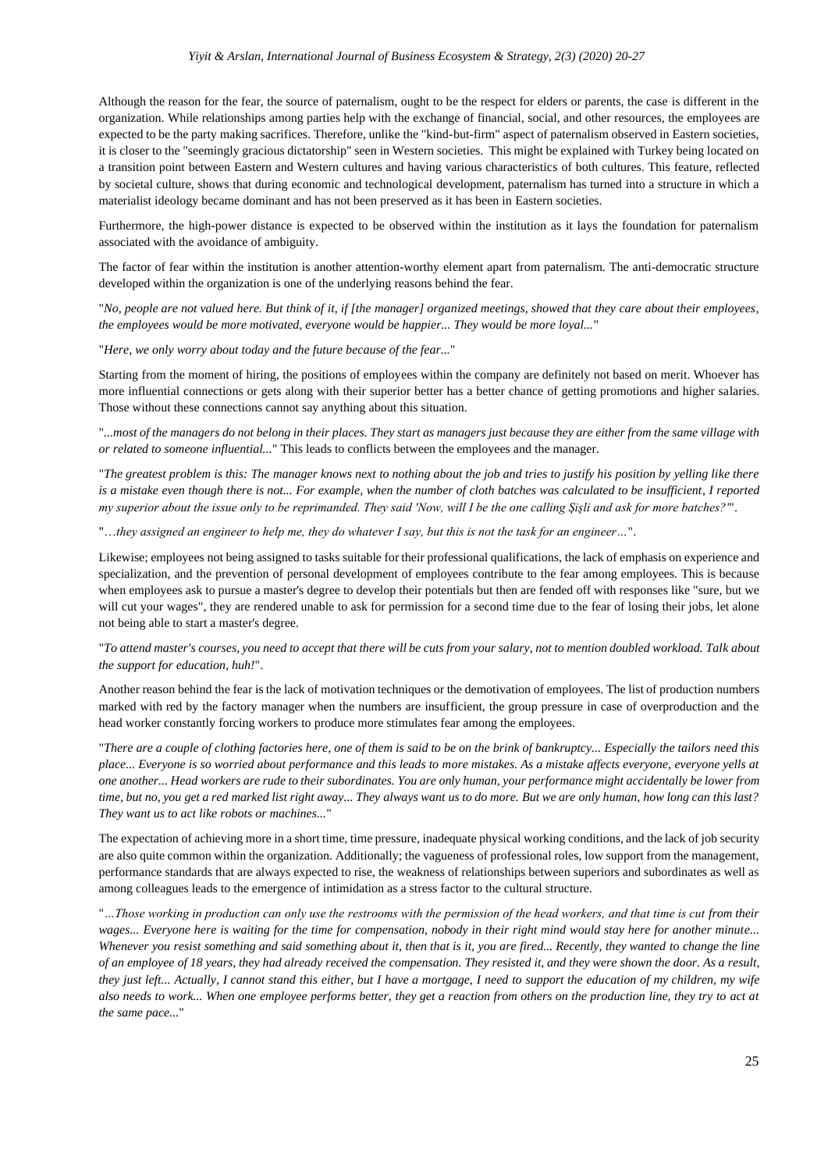Although the reason for the fear, the source of paternalism, ought to be the respect for elders or parents, the case is different in the organization. While relationships among parties help with the exchange of financial, social, and other resources, the employees are expected to be the party making sacrifices. Therefore, unlike the "kind-but-firm" aspect of paternalism observed in Eastern societies, it is closer to the "seemingly gracious dictatorship" seen in Western societies. This might be explained with Turkey being located on a transition point between Eastern and Western cultures and having various characteristics of both cultures. This feature, reflected by societal culture, shows that during economic and technological development, paternalism has turned into a structure in which a materialist ideology became dominant and has not been preserved as it has been in Eastern societies.

Furthermore, the high-power distance is expected to be observed within the institution as it lays the foundation for paternalism associated with the avoidance of ambiguity.

The factor of fear within the institution is another attention-worthy element apart from paternalism. The anti-democratic structure developed within the organization is one of the underlying reasons behind the fear.

"*No, people are not valued here. But think of it, if [the manager] organized meetings, showed that they care about their employees, the employees would be more motivated, everyone would be happier... They would be more loyal...*"

"*Here, we only worry about today and the future because of the fear...*"

Starting from the moment of hiring, the positions of employees within the company are definitely not based on merit. Whoever has more influential connections or gets along with their superior better has a better chance of getting promotions and higher salaries. Those without these connections cannot say anything about this situation.

"*...most of the managers do not belong in their places. They start as managers just because they are either from the same village with or related to someone influential...*" This leads to conflicts between the employees and the manager.

"*The greatest problem is this: The manager knows next to nothing about the job and tries to justify his position by yelling like there*  is a mistake even though there is not... For example, when the number of cloth batches was calculated to be insufficient, I reported *my superior about the issue only to be reprimanded. They said 'Now, will I be the one calling Şişli and ask for more batches?'*".

"…*they assigned an engineer to help me, they do whatever I say, but this is not the task for an engineer…*".

Likewise; employees not being assigned to tasks suitable for their professional qualifications, the lack of emphasis on experience and specialization, and the prevention of personal development of employees contribute to the fear among employees. This is because when employees ask to pursue a master's degree to develop their potentials but then are fended off with responses like "sure, but we will cut your wages", they are rendered unable to ask for permission for a second time due to the fear of losing their jobs, let alone not being able to start a master's degree.

#### "*To attend master's courses, you need to accept that there will be cuts from your salary, not to mention doubled workload. Talk about the support for education, huh!*".

Another reason behind the fear is the lack of motivation techniques or the demotivation of employees. The list of production numbers marked with red by the factory manager when the numbers are insufficient, the group pressure in case of overproduction and the head worker constantly forcing workers to produce more stimulates fear among the employees.

"*There are a couple of clothing factories here, one of them is said to be on the brink of bankruptcy... Especially the tailors need this place... Everyone is so worried about performance and this leads to more mistakes. As a mistake affects everyone, everyone yells at one another... Head workers are rude to their subordinates. You are only human, your performance might accidentally be lower from time, but no, you get a red marked list right away... They always want us to do more. But we are only human, how long can this last? They want us to act like robots or machines...*"

The expectation of achieving more in a short time, time pressure, inadequate physical working conditions, and the lack of job security are also quite common within the organization. Additionally; the vagueness of professional roles, low support from the management, performance standards that are always expected to rise, the weakness of relationships between superiors and subordinates as well as among colleagues leads to the emergence of intimidation as a stress factor to the cultural structure.

"*…Those working in production can only use the restrooms with the permission of the head workers, and that time is cut from their wages... Everyone here is waiting for the time for compensation, nobody in their right mind would stay here for another minute... Whenever you resist something and said something about it, then that is it, you are fired... Recently, they wanted to change the line of an employee of 18 years, they had already received the compensation. They resisted it, and they were shown the door. As a result, they just left... Actually, I cannot stand this either, but I have a mortgage, I need to support the education of my children, my wife also needs to work... When one employee performs better, they get a reaction from others on the production line, they try to act at the same pace...*"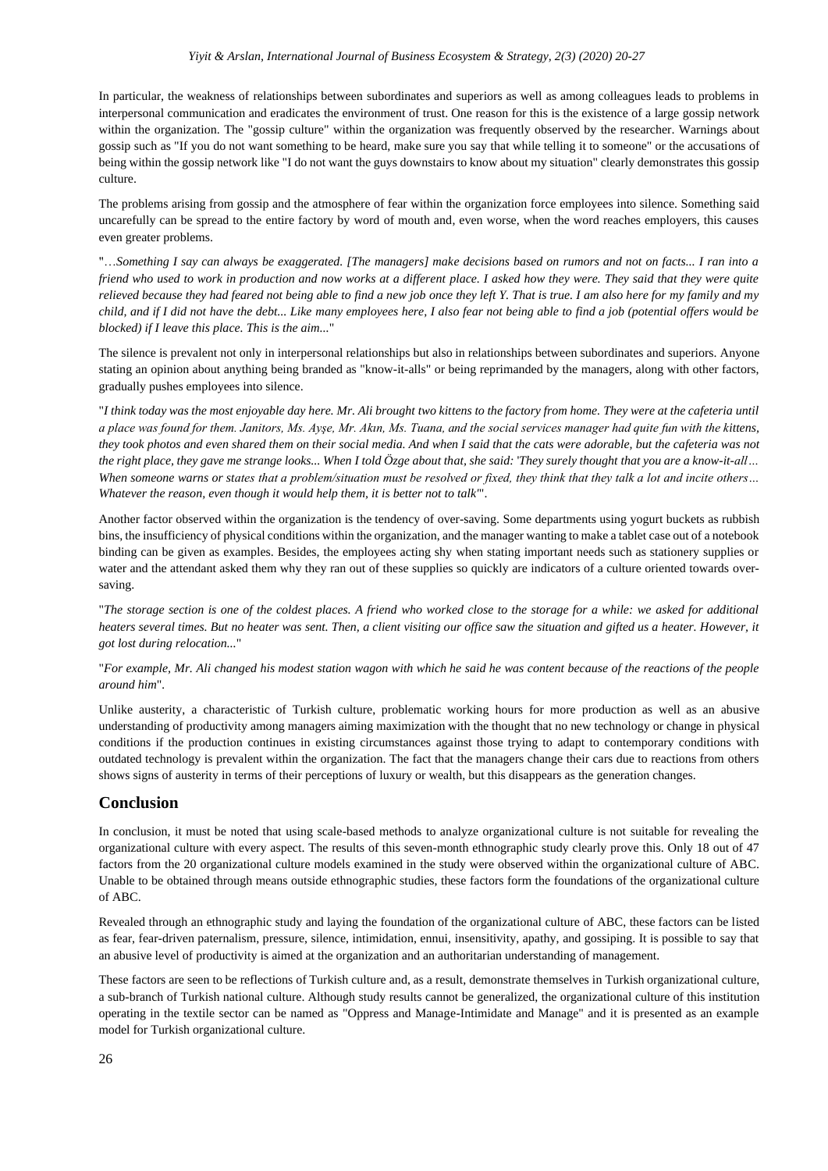In particular, the weakness of relationships between subordinates and superiors as well as among colleagues leads to problems in interpersonal communication and eradicates the environment of trust. One reason for this is the existence of a large gossip network within the organization. The "gossip culture" within the organization was frequently observed by the researcher. Warnings about gossip such as "If you do not want something to be heard, make sure you say that while telling it to someone" or the accusations of being within the gossip network like "I do not want the guys downstairs to know about my situation" clearly demonstrates this gossip culture.

The problems arising from gossip and the atmosphere of fear within the organization force employees into silence. Something said uncarefully can be spread to the entire factory by word of mouth and, even worse, when the word reaches employers, this causes even greater problems.

"…*Something I say can always be exaggerated. [The managers] make decisions based on rumors and not on facts... I ran into a friend who used to work in production and now works at a different place. I asked how they were. They said that they were quite relieved because they had feared not being able to find a new job once they left Y. That is true. I am also here for my family and my child, and if I did not have the debt... Like many employees here, I also fear not being able to find a job (potential offers would be blocked) if I leave this place. This is the aim...*"

The silence is prevalent not only in interpersonal relationships but also in relationships between subordinates and superiors. Anyone stating an opinion about anything being branded as "know-it-alls" or being reprimanded by the managers, along with other factors, gradually pushes employees into silence.

"*I think today was the most enjoyable day here. Mr. Ali brought two kittens to the factory from home. They were at the cafeteria until a place was found for them. Janitors, Ms. Ayşe, Mr. Akın, Ms. Tuana, and the social services manager had quite fun with the kittens, they took photos and even shared them on their social media. And when I said that the cats were adorable, but the cafeteria was not the right place, they gave me strange looks... When I told Özge about that, she said:* '*They surely thought that you are a know-it-all… When someone warns or states that a problem/situation must be resolved or fixed, they think that they talk a lot and incite others… Whatever the reason, even though it would help them, it is better not to talk'*".

Another factor observed within the organization is the tendency of over-saving. Some departments using yogurt buckets as rubbish bins, the insufficiency of physical conditions within the organization, and the manager wanting to make a tablet case out of a notebook binding can be given as examples. Besides, the employees acting shy when stating important needs such as stationery supplies or water and the attendant asked them why they ran out of these supplies so quickly are indicators of a culture oriented towards oversaving.

"*The storage section is one of the coldest places. A friend who worked close to the storage for a while: we asked for additional heaters several times. But no heater was sent. Then, a client visiting our office saw the situation and gifted us a heater. However, it got lost during relocation...*"

"*For example, Mr. Ali changed his modest station wagon with which he said he was content because of the reactions of the people around him*"*.* 

Unlike austerity, a characteristic of Turkish culture, problematic working hours for more production as well as an abusive understanding of productivity among managers aiming maximization with the thought that no new technology or change in physical conditions if the production continues in existing circumstances against those trying to adapt to contemporary conditions with outdated technology is prevalent within the organization. The fact that the managers change their cars due to reactions from others shows signs of austerity in terms of their perceptions of luxury or wealth, but this disappears as the generation changes.

#### **Conclusion**

In conclusion, it must be noted that using scale-based methods to analyze organizational culture is not suitable for revealing the organizational culture with every aspect. The results of this seven-month ethnographic study clearly prove this. Only 18 out of 47 factors from the 20 organizational culture models examined in the study were observed within the organizational culture of ABC. Unable to be obtained through means outside ethnographic studies, these factors form the foundations of the organizational culture of ABC.

Revealed through an ethnographic study and laying the foundation of the organizational culture of ABC, these factors can be listed as fear, fear-driven paternalism, pressure, silence, intimidation, ennui, insensitivity, apathy, and gossiping. It is possible to say that an abusive level of productivity is aimed at the organization and an authoritarian understanding of management.

These factors are seen to be reflections of Turkish culture and, as a result, demonstrate themselves in Turkish organizational culture, a sub-branch of Turkish national culture. Although study results cannot be generalized, the organizational culture of this institution operating in the textile sector can be named as "Oppress and Manage-Intimidate and Manage" and it is presented as an example model for Turkish organizational culture.